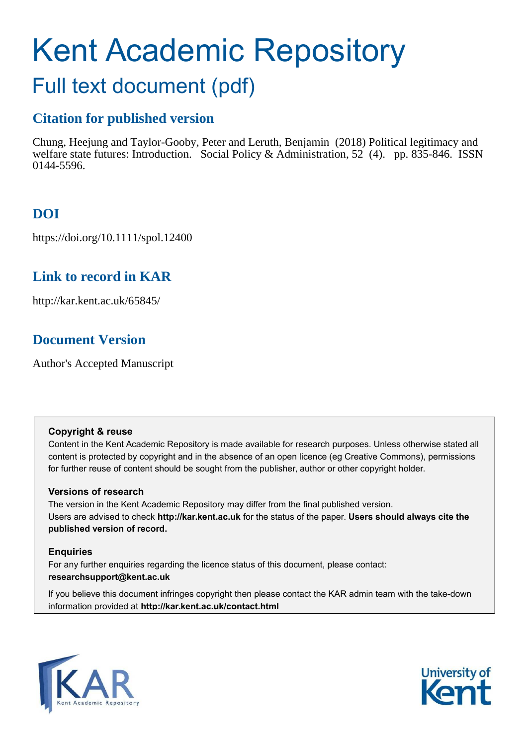# Kent Academic Repository

## Full text document (pdf)

## **Citation for published version**

Chung, Heejung and Taylor-Gooby, Peter and Leruth, Benjamin (2018) Political legitimacy and welfare state futures: Introduction. Social Policy & Administration, 52 (4). pp. 835-846. ISSN 0144-5596.

## **DOI**

https://doi.org/10.1111/spol.12400

## **Link to record in KAR**

http://kar.kent.ac.uk/65845/

## **Document Version**

Author's Accepted Manuscript

#### **Copyright & reuse**

Content in the Kent Academic Repository is made available for research purposes. Unless otherwise stated all content is protected by copyright and in the absence of an open licence (eg Creative Commons), permissions for further reuse of content should be sought from the publisher, author or other copyright holder.

#### **Versions of research**

The version in the Kent Academic Repository may differ from the final published version. Users are advised to check **http://kar.kent.ac.uk** for the status of the paper. **Users should always cite the published version of record.**

#### **Enquiries**

For any further enquiries regarding the licence status of this document, please contact: **researchsupport@kent.ac.uk**

If you believe this document infringes copyright then please contact the KAR admin team with the take-down information provided at **http://kar.kent.ac.uk/contact.html**



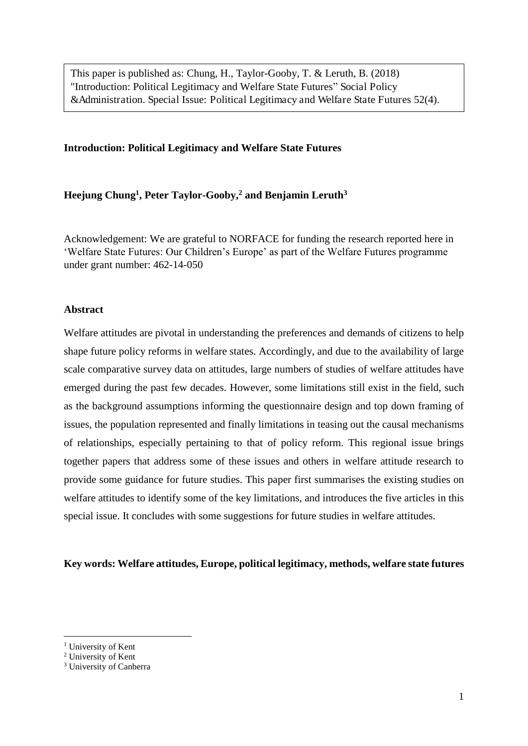This paper is published as: Chung, H., Taylor-Gooby, T. & Leruth, B. (2018) "Introduction: Political Legitimacy and Welfare State Futures" Social Policy &Administration. Special Issue: Political Legitimacy and Welfare State Futures 52(4).

#### **Introduction: Political Legitimacy and Welfare State Futures**

#### **Heejung Chung<sup>1</sup> , Peter Taylor-Gooby,<sup>2</sup> and Benjamin Leruth<sup>3</sup>**

Acknowledgement: We are grateful to NORFACE for funding the research reported here in 'Welfare State Futures: Our Children's Europe' as part of the Welfare Futures programme under grant number: 462-14-050

#### **Abstract**

Welfare attitudes are pivotal in understanding the preferences and demands of citizens to help shape future policy reforms in welfare states. Accordingly, and due to the availability of large scale comparative survey data on attitudes, large numbers of studies of welfare attitudes have emerged during the past few decades. However, some limitations still exist in the field, such as the background assumptions informing the questionnaire design and top down framing of issues, the population represented and finally limitations in teasing out the causal mechanisms of relationships, especially pertaining to that of policy reform. This regional issue brings together papers that address some of these issues and others in welfare attitude research to provide some guidance for future studies. This paper first summarises the existing studies on welfare attitudes to identify some of the key limitations, and introduces the five articles in this special issue. It concludes with some suggestions for future studies in welfare attitudes.

#### **Key words: Welfare attitudes, Europe, political legitimacy, methods, welfare state futures**

<u>.</u>

<sup>&</sup>lt;sup>1</sup> University of Kent

<sup>2</sup> University of Kent

<sup>3</sup> University of Canberra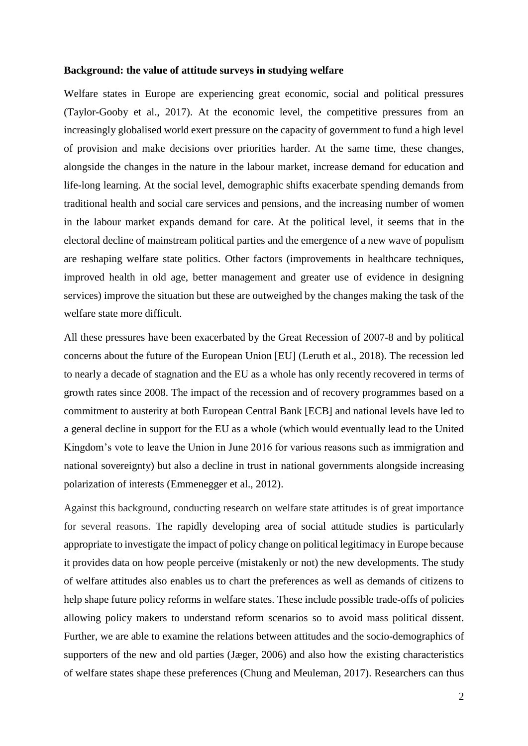#### **Background: the value of attitude surveys in studying welfare**

Welfare states in Europe are experiencing great economic, social and political pressures (Taylor-Gooby et al., 2017). At the economic level, the competitive pressures from an increasingly globalised world exert pressure on the capacity of government to fund a high level of provision and make decisions over priorities harder. At the same time, these changes, alongside the changes in the nature in the labour market, increase demand for education and life-long learning. At the social level, demographic shifts exacerbate spending demands from traditional health and social care services and pensions, and the increasing number of women in the labour market expands demand for care. At the political level, it seems that in the electoral decline of mainstream political parties and the emergence of a new wave of populism are reshaping welfare state politics. Other factors (improvements in healthcare techniques, improved health in old age, better management and greater use of evidence in designing services) improve the situation but these are outweighed by the changes making the task of the welfare state more difficult.

All these pressures have been exacerbated by the Great Recession of 2007-8 and by political concerns about the future of the European Union [EU] (Leruth et al., 2018). The recession led to nearly a decade of stagnation and the EU as a whole has only recently recovered in terms of growth rates since 2008. The impact of the recession and of recovery programmes based on a commitment to austerity at both European Central Bank [ECB] and national levels have led to a general decline in support for the EU as a whole (which would eventually lead to the United Kingdom's vote to leave the Union in June 2016 for various reasons such as immigration and national sovereignty) but also a decline in trust in national governments alongside increasing polarization of interests (Emmenegger et al., 2012).

Against this background, conducting research on welfare state attitudes is of great importance for several reasons. The rapidly developing area of social attitude studies is particularly appropriate to investigate the impact of policy change on political legitimacy in Europe because it provides data on how people perceive (mistakenly or not) the new developments. The study of welfare attitudes also enables us to chart the preferences as well as demands of citizens to help shape future policy reforms in welfare states. These include possible trade-offs of policies allowing policy makers to understand reform scenarios so to avoid mass political dissent. Further, we are able to examine the relations between attitudes and the socio-demographics of supporters of the new and old parties (Jæger, 2006) and also how the existing characteristics of welfare states shape these preferences (Chung and Meuleman, 2017). Researchers can thus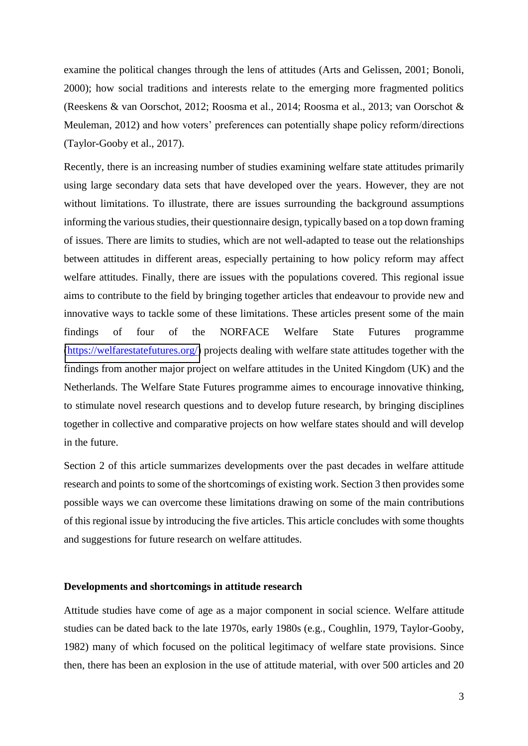examine the political changes through the lens of attitudes (Arts and Gelissen, 2001; Bonoli, 2000); how social traditions and interests relate to the emerging more fragmented politics (Reeskens & van Oorschot, 2012; Roosma et al., 2014; Roosma et al., 2013; van Oorschot & Meuleman, 2012) and how voters' preferences can potentially shape policy reform/directions (Taylor-Gooby et al., 2017).

Recently, there is an increasing number of studies examining welfare state attitudes primarily using large secondary data sets that have developed over the years. However, they are not without limitations. To illustrate, there are issues surrounding the background assumptions informing the various studies, their questionnaire design, typically based on a top down framing of issues. There are limits to studies, which are not well-adapted to tease out the relationships between attitudes in different areas, especially pertaining to how policy reform may affect welfare attitudes. Finally, there are issues with the populations covered. This regional issue aims to contribute to the field by bringing together articles that endeavour to provide new and innovative ways to tackle some of these limitations. These articles present some of the main findings of four of the NORFACE Welfare State Futures programme [\(https://welfarestatefutures.org/\)](https://welfarestatefutures.org/) projects dealing with welfare state attitudes together with the findings from another major project on welfare attitudes in the United Kingdom (UK) and the Netherlands. The Welfare State Futures programme aimes to encourage innovative thinking, to stimulate novel research questions and to develop future research, by bringing disciplines together in collective and comparative projects on how welfare states should and will develop in the future.

Section 2 of this article summarizes developments over the past decades in welfare attitude research and points to some of the shortcomings of existing work. Section 3 then provides some possible ways we can overcome these limitations drawing on some of the main contributions of this regional issue by introducing the five articles. This article concludes with some thoughts and suggestions for future research on welfare attitudes.

#### **Developments and shortcomings in attitude research**

Attitude studies have come of age as a major component in social science. Welfare attitude studies can be dated back to the late 1970s, early 1980s (e.g., Coughlin, 1979, Taylor-Gooby, 1982) many of which focused on the political legitimacy of welfare state provisions. Since then, there has been an explosion in the use of attitude material, with over 500 articles and 20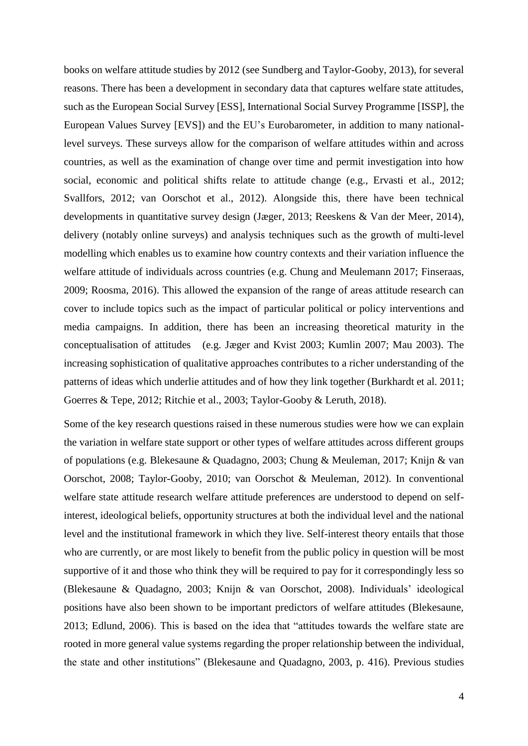books on welfare attitude studies by 2012 (see Sundberg and Taylor-Gooby, 2013), for several reasons. There has been a development in secondary data that captures welfare state attitudes, such as the European Social Survey [ESS], International Social Survey Programme [ISSP], the European Values Survey [EVS]) and the EU's Eurobarometer, in addition to many nationallevel surveys. These surveys allow for the comparison of welfare attitudes within and across countries, as well as the examination of change over time and permit investigation into how social, economic and political shifts relate to attitude change (e.g., Ervasti et al., 2012; Svallfors, 2012; van Oorschot et al., 2012). Alongside this, there have been technical developments in quantitative survey design (Jæger, 2013; Reeskens & Van der Meer, 2014), delivery (notably online surveys) and analysis techniques such as the growth of multi-level modelling which enables us to examine how country contexts and their variation influence the welfare attitude of individuals across countries (e.g. Chung and Meulemann 2017; Finseraas, 2009; Roosma, 2016). This allowed the expansion of the range of areas attitude research can cover to include topics such as the impact of particular political or policy interventions and media campaigns. In addition, there has been an increasing theoretical maturity in the conceptualisation of attitudes (e.g. Jæger and Kvist 2003; Kumlin 2007; Mau 2003). The increasing sophistication of qualitative approaches contributes to a richer understanding of the patterns of ideas which underlie attitudes and of how they link together (Burkhardt et al. 2011; Goerres & Tepe, 2012; Ritchie et al., 2003; Taylor-Gooby & Leruth, 2018).

Some of the key research questions raised in these numerous studies were how we can explain the variation in welfare state support or other types of welfare attitudes across different groups of populations (e.g. Blekesaune & Quadagno, 2003; Chung & Meuleman, 2017; Knijn & van Oorschot, 2008; Taylor-Gooby, 2010; van Oorschot & Meuleman, 2012). In conventional welfare state attitude research welfare attitude preferences are understood to depend on selfinterest, ideological beliefs, opportunity structures at both the individual level and the national level and the institutional framework in which they live. Self-interest theory entails that those who are currently, or are most likely to benefit from the public policy in question will be most supportive of it and those who think they will be required to pay for it correspondingly less so (Blekesaune & Quadagno, 2003; Knijn & van Oorschot, 2008). Individuals' ideological positions have also been shown to be important predictors of welfare attitudes (Blekesaune, 2013; Edlund, 2006). This is based on the idea that "attitudes towards the welfare state are rooted in more general value systems regarding the proper relationship between the individual, the state and other institutions" (Blekesaune and Quadagno, 2003, p. 416). Previous studies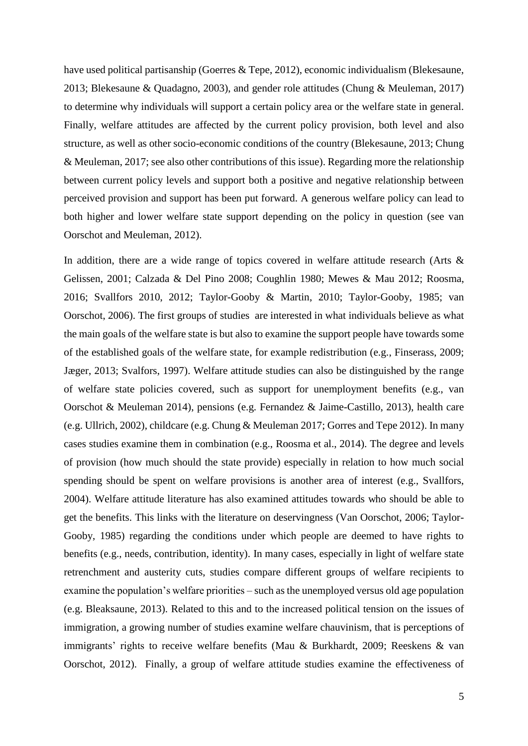have used political partisanship (Goerres & Tepe, 2012), economic individualism (Blekesaune, 2013; Blekesaune & Quadagno, 2003), and gender role attitudes (Chung & Meuleman, 2017) to determine why individuals will support a certain policy area or the welfare state in general. Finally, welfare attitudes are affected by the current policy provision, both level and also structure, as well as other socio-economic conditions of the country (Blekesaune, 2013; Chung & Meuleman, 2017; see also other contributions of this issue). Regarding more the relationship between current policy levels and support both a positive and negative relationship between perceived provision and support has been put forward. A generous welfare policy can lead to both higher and lower welfare state support depending on the policy in question (see van Oorschot and Meuleman, 2012).

In addition, there are a wide range of topics covered in welfare attitude research (Arts & Gelissen, 2001; Calzada & Del Pino 2008; Coughlin 1980; Mewes & Mau 2012; Roosma, 2016; Svallfors 2010, 2012; Taylor-Gooby & Martin, 2010; Taylor-Gooby, 1985; van Oorschot, 2006). The first groups of studies are interested in what individuals believe as what the main goals of the welfare state is but also to examine the support people have towards some of the established goals of the welfare state, for example redistribution (e.g., Finserass, 2009; Jæger, 2013; Svalfors, 1997). Welfare attitude studies can also be distinguished by the range of welfare state policies covered, such as support for unemployment benefits (e.g., van Oorschot & Meuleman 2014), pensions (e.g. Fernandez & Jaime-Castillo, 2013), health care (e.g. Ullrich, 2002), childcare (e.g. Chung & Meuleman 2017; Gorres and Tepe 2012). In many cases studies examine them in combination (e.g., Roosma et al., 2014). The degree and levels of provision (how much should the state provide) especially in relation to how much social spending should be spent on welfare provisions is another area of interest (e.g., Svallfors, 2004). Welfare attitude literature has also examined attitudes towards who should be able to get the benefits. This links with the literature on deservingness (Van Oorschot, 2006; Taylor-Gooby, 1985) regarding the conditions under which people are deemed to have rights to benefits (e.g., needs, contribution, identity). In many cases, especially in light of welfare state retrenchment and austerity cuts, studies compare different groups of welfare recipients to examine the population's welfare priorities – such as the unemployed versus old age population (e.g. Bleaksaune, 2013). Related to this and to the increased political tension on the issues of immigration, a growing number of studies examine welfare chauvinism, that is perceptions of immigrants' rights to receive welfare benefits (Mau & Burkhardt, 2009; Reeskens & van Oorschot, 2012). Finally, a group of welfare attitude studies examine the effectiveness of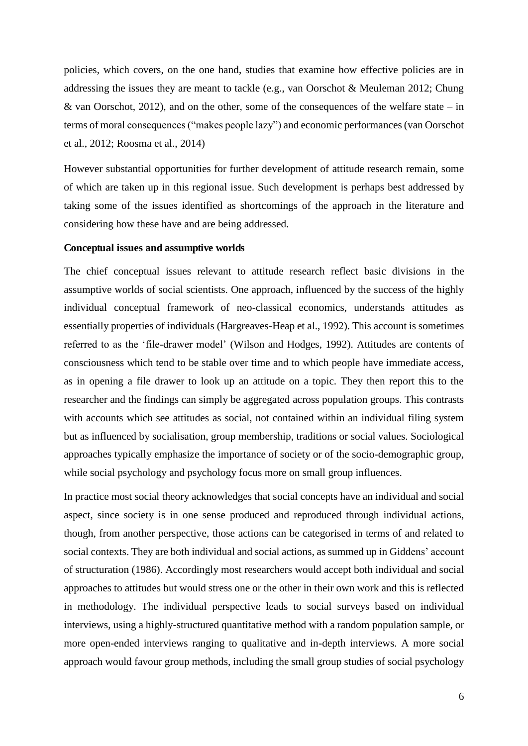policies, which covers, on the one hand, studies that examine how effective policies are in addressing the issues they are meant to tackle (e.g., van Oorschot & Meuleman 2012; Chung & van Oorschot, 2012), and on the other, some of the consequences of the welfare state – in terms of moral consequences ("makes people lazy") and economic performances (van Oorschot et al., 2012; Roosma et al., 2014)

However substantial opportunities for further development of attitude research remain, some of which are taken up in this regional issue. Such development is perhaps best addressed by taking some of the issues identified as shortcomings of the approach in the literature and considering how these have and are being addressed.

#### **Conceptual issues and assumptive worlds**

The chief conceptual issues relevant to attitude research reflect basic divisions in the assumptive worlds of social scientists. One approach, influenced by the success of the highly individual conceptual framework of neo-classical economics, understands attitudes as essentially properties of individuals (Hargreaves-Heap et al., 1992). This account is sometimes referred to as the 'file-drawer model' (Wilson and Hodges, 1992). Attitudes are contents of consciousness which tend to be stable over time and to which people have immediate access, as in opening a file drawer to look up an attitude on a topic. They then report this to the researcher and the findings can simply be aggregated across population groups. This contrasts with accounts which see attitudes as social, not contained within an individual filing system but as influenced by socialisation, group membership, traditions or social values. Sociological approaches typically emphasize the importance of society or of the socio-demographic group, while social psychology and psychology focus more on small group influences.

In practice most social theory acknowledges that social concepts have an individual and social aspect, since society is in one sense produced and reproduced through individual actions, though, from another perspective, those actions can be categorised in terms of and related to social contexts. They are both individual and social actions, as summed up in Giddens' account of structuration (1986). Accordingly most researchers would accept both individual and social approaches to attitudes but would stress one or the other in their own work and this is reflected in methodology. The individual perspective leads to social surveys based on individual interviews, using a highly-structured quantitative method with a random population sample, or more open-ended interviews ranging to qualitative and in-depth interviews. A more social approach would favour group methods, including the small group studies of social psychology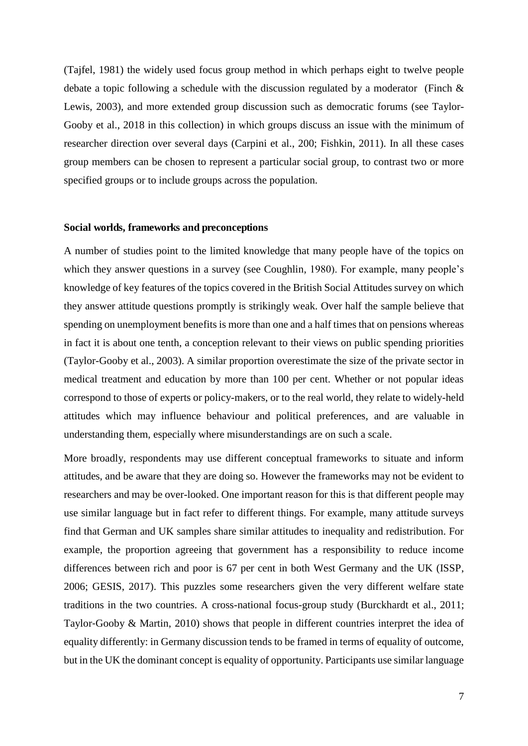(Tajfel, 1981) the widely used focus group method in which perhaps eight to twelve people debate a topic following a schedule with the discussion regulated by a moderator (Finch & Lewis, 2003), and more extended group discussion such as democratic forums (see Taylor-Gooby et al., 2018 in this collection) in which groups discuss an issue with the minimum of researcher direction over several days (Carpini et al., 200; Fishkin, 2011). In all these cases group members can be chosen to represent a particular social group, to contrast two or more specified groups or to include groups across the population.

#### **Social worlds, frameworks and preconceptions**

A number of studies point to the limited knowledge that many people have of the topics on which they answer questions in a survey (see Coughlin, 1980). For example, many people's knowledge of key features of the topics covered in the British Social Attitudes survey on which they answer attitude questions promptly is strikingly weak. Over half the sample believe that spending on unemployment benefits is more than one and a half times that on pensions whereas in fact it is about one tenth, a conception relevant to their views on public spending priorities (Taylor-Gooby et al., 2003). A similar proportion overestimate the size of the private sector in medical treatment and education by more than 100 per cent. Whether or not popular ideas correspond to those of experts or policy-makers, or to the real world, they relate to widely-held attitudes which may influence behaviour and political preferences, and are valuable in understanding them, especially where misunderstandings are on such a scale.

More broadly, respondents may use different conceptual frameworks to situate and inform attitudes, and be aware that they are doing so. However the frameworks may not be evident to researchers and may be over-looked. One important reason for this is that different people may use similar language but in fact refer to different things. For example, many attitude surveys find that German and UK samples share similar attitudes to inequality and redistribution. For example, the proportion agreeing that government has a responsibility to reduce income differences between rich and poor is 67 per cent in both West Germany and the UK (ISSP, 2006; GESIS, 2017). This puzzles some researchers given the very different welfare state traditions in the two countries. A cross-national focus-group study (Burckhardt et al., 2011; Taylor-Gooby  $& Martin, 2010$ ) shows that people in different countries interpret the idea of equality differently: in Germany discussion tends to be framed in terms of equality of outcome, but in the UK the dominant concept is equality of opportunity. Participants use similar language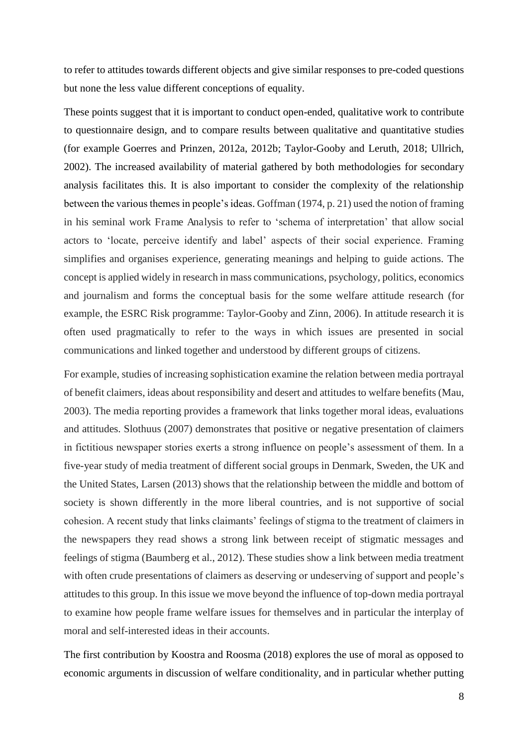to refer to attitudes towards different objects and give similar responses to pre-coded questions but none the less value different conceptions of equality.

These points suggest that it is important to conduct open-ended, qualitative work to contribute to questionnaire design, and to compare results between qualitative and quantitative studies (for example Goerres and Prinzen, 2012a, 2012b; Taylor-Gooby and Leruth, 2018; Ullrich, 2002). The increased availability of material gathered by both methodologies for secondary analysis facilitates this. It is also important to consider the complexity of the relationship between the various themes in people's ideas. Goffman (1974, p. 21) used the notion of framing in his seminal work Frame Analysis to refer to 'schema of interpretation' that allow social actors to 'locate, perceive identify and label' aspects of their social experience. Framing simplifies and organises experience, generating meanings and helping to guide actions. The concept is applied widely in research in mass communications, psychology, politics, economics and journalism and forms the conceptual basis for the some welfare attitude research (for example, the ESRC Risk programme: Taylor-Gooby and Zinn, 2006). In attitude research it is often used pragmatically to refer to the ways in which issues are presented in social communications and linked together and understood by different groups of citizens.

For example, studies of increasing sophistication examine the relation between media portrayal of benefit claimers, ideas about responsibility and desert and attitudes to welfare benefits (Mau, 2003). The media reporting provides a framework that links together moral ideas, evaluations and attitudes. Slothuus (2007) demonstrates that positive or negative presentation of claimers in fictitious newspaper stories exerts a strong influence on people's assessment of them. In a five-year study of media treatment of different social groups in Denmark, Sweden, the UK and the United States, Larsen (2013) shows that the relationship between the middle and bottom of society is shown differently in the more liberal countries, and is not supportive of social cohesion. A recent study that links claimants' feelings of stigma to the treatment of claimers in the newspapers they read shows a strong link between receipt of stigmatic messages and feelings of stigma (Baumberg et al., 2012). These studies show a link between media treatment with often crude presentations of claimers as deserving or undeserving of support and people's attitudes to this group. In this issue we move beyond the influence of top-down media portrayal to examine how people frame welfare issues for themselves and in particular the interplay of moral and self-interested ideas in their accounts.

The first contribution by Koostra and Roosma (2018) explores the use of moral as opposed to economic arguments in discussion of welfare conditionality, and in particular whether putting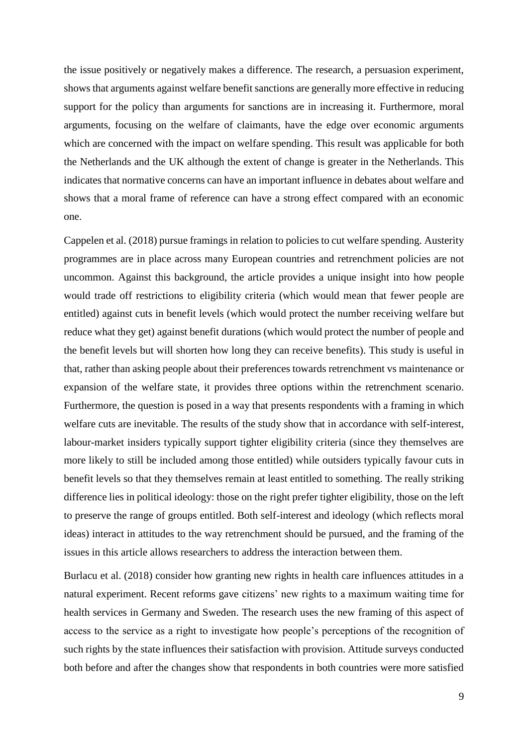the issue positively or negatively makes a difference. The research, a persuasion experiment, shows that arguments against welfare benefit sanctions are generally more effective in reducing support for the policy than arguments for sanctions are in increasing it. Furthermore, moral arguments, focusing on the welfare of claimants, have the edge over economic arguments which are concerned with the impact on welfare spending. This result was applicable for both the Netherlands and the UK although the extent of change is greater in the Netherlands. This indicates that normative concerns can have an important influence in debates about welfare and shows that a moral frame of reference can have a strong effect compared with an economic one.

Cappelen et al. (2018) pursue framings in relation to policies to cut welfare spending. Austerity programmes are in place across many European countries and retrenchment policies are not uncommon. Against this background, the article provides a unique insight into how people would trade off restrictions to eligibility criteria (which would mean that fewer people are entitled) against cuts in benefit levels (which would protect the number receiving welfare but reduce what they get) against benefit durations (which would protect the number of people and the benefit levels but will shorten how long they can receive benefits). This study is useful in that, rather than asking people about their preferences towards retrenchment vs maintenance or expansion of the welfare state, it provides three options within the retrenchment scenario. Furthermore, the question is posed in a way that presents respondents with a framing in which welfare cuts are inevitable. The results of the study show that in accordance with self-interest, labour-market insiders typically support tighter eligibility criteria (since they themselves are more likely to still be included among those entitled) while outsiders typically favour cuts in benefit levels so that they themselves remain at least entitled to something. The really striking difference lies in political ideology: those on the right prefer tighter eligibility, those on the left to preserve the range of groups entitled. Both self-interest and ideology (which reflects moral ideas) interact in attitudes to the way retrenchment should be pursued, and the framing of the issues in this article allows researchers to address the interaction between them.

Burlacu et al. (2018) consider how granting new rights in health care influences attitudes in a natural experiment. Recent reforms gave citizens' new rights to a maximum waiting time for health services in Germany and Sweden. The research uses the new framing of this aspect of access to the service as a right to investigate how people's perceptions of the recognition of such rights by the state influences their satisfaction with provision. Attitude surveys conducted both before and after the changes show that respondents in both countries were more satisfied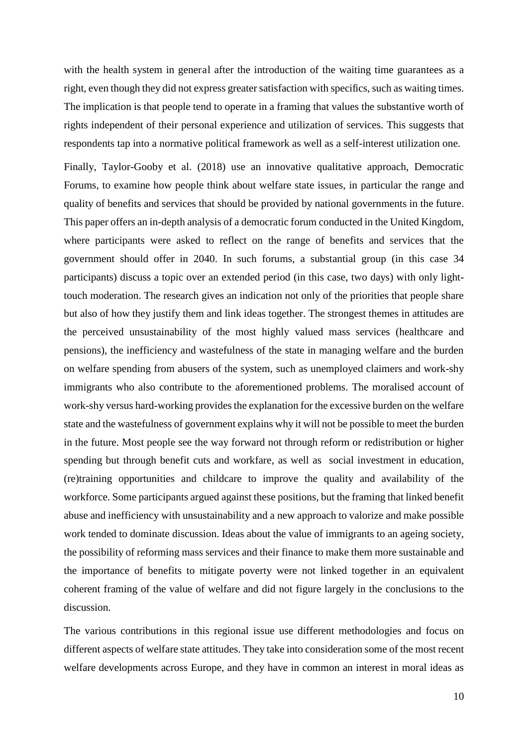with the health system in general after the introduction of the waiting time guarantees as a right, even though they did not express greater satisfaction with specifics, such as waiting times. The implication is that people tend to operate in a framing that values the substantive worth of rights independent of their personal experience and utilization of services. This suggests that respondents tap into a normative political framework as well as a self-interest utilization one.

Finally, Taylor-Gooby et al. (2018) use an innovative qualitative approach, Democratic Forums, to examine how people think about welfare state issues, in particular the range and quality of benefits and services that should be provided by national governments in the future. This paper offers an in-depth analysis of a democratic forum conducted in the United Kingdom, where participants were asked to reflect on the range of benefits and services that the government should offer in 2040. In such forums, a substantial group (in this case 34 participants) discuss a topic over an extended period (in this case, two days) with only lighttouch moderation. The research gives an indication not only of the priorities that people share but also of how they justify them and link ideas together. The strongest themes in attitudes are the perceived unsustainability of the most highly valued mass services (healthcare and pensions), the inefficiency and wastefulness of the state in managing welfare and the burden on welfare spending from abusers of the system, such as unemployed claimers and work-shy immigrants who also contribute to the aforementioned problems. The moralised account of work-shy versus hard-working provides the explanation for the excessive burden on the welfare state and the wastefulness of government explains why it will not be possible to meet the burden in the future. Most people see the way forward not through reform or redistribution or higher spending but through benefit cuts and workfare, as well as social investment in education, (re)training opportunities and childcare to improve the quality and availability of the workforce. Some participants argued against these positions, but the framing that linked benefit abuse and inefficiency with unsustainability and a new approach to valorize and make possible work tended to dominate discussion. Ideas about the value of immigrants to an ageing society, the possibility of reforming mass services and their finance to make them more sustainable and the importance of benefits to mitigate poverty were not linked together in an equivalent coherent framing of the value of welfare and did not figure largely in the conclusions to the discussion.

The various contributions in this regional issue use different methodologies and focus on different aspects of welfare state attitudes. They take into consideration some of the most recent welfare developments across Europe, and they have in common an interest in moral ideas as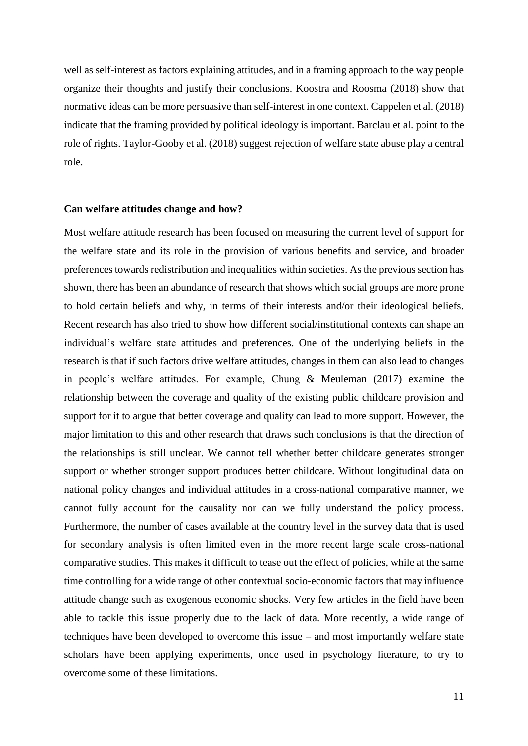well as self-interest as factors explaining attitudes, and in a framing approach to the way people organize their thoughts and justify their conclusions. Koostra and Roosma (2018) show that normative ideas can be more persuasive than self-interest in one context. Cappelen et al. (2018) indicate that the framing provided by political ideology is important. Barclau et al. point to the role of rights. Taylor-Gooby et al. (2018) suggest rejection of welfare state abuse play a central role.

#### **Can welfare attitudes change and how?**

Most welfare attitude research has been focused on measuring the current level of support for the welfare state and its role in the provision of various benefits and service, and broader preferences towards redistribution and inequalities within societies. As the previous section has shown, there has been an abundance of research that shows which social groups are more prone to hold certain beliefs and why, in terms of their interests and/or their ideological beliefs. Recent research has also tried to show how different social/institutional contexts can shape an individual's welfare state attitudes and preferences. One of the underlying beliefs in the research is that if such factors drive welfare attitudes, changes in them can also lead to changes in people's welfare attitudes. For example, Chung & Meuleman (2017) examine the relationship between the coverage and quality of the existing public childcare provision and support for it to argue that better coverage and quality can lead to more support. However, the major limitation to this and other research that draws such conclusions is that the direction of the relationships is still unclear. We cannot tell whether better childcare generates stronger support or whether stronger support produces better childcare. Without longitudinal data on national policy changes and individual attitudes in a cross-national comparative manner, we cannot fully account for the causality nor can we fully understand the policy process. Furthermore, the number of cases available at the country level in the survey data that is used for secondary analysis is often limited even in the more recent large scale cross-national comparative studies. This makes it difficult to tease out the effect of policies, while at the same time controlling for a wide range of other contextual socio-economic factors that may influence attitude change such as exogenous economic shocks. Very few articles in the field have been able to tackle this issue properly due to the lack of data. More recently, a wide range of techniques have been developed to overcome this issue – and most importantly welfare state scholars have been applying experiments, once used in psychology literature, to try to overcome some of these limitations.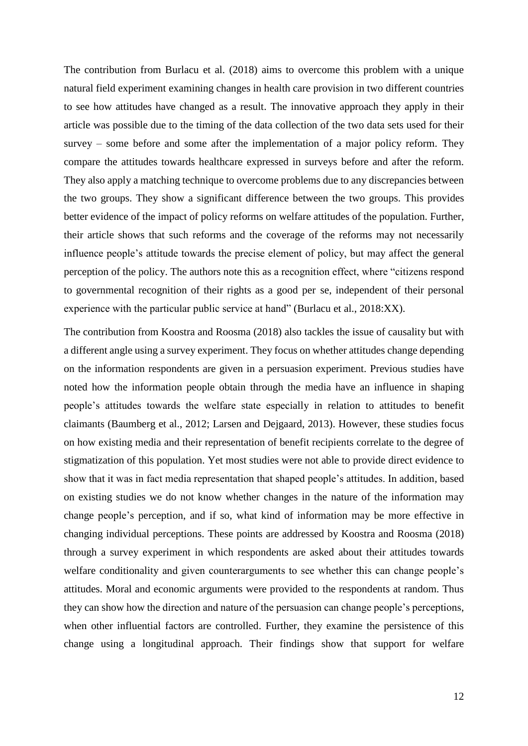The contribution from Burlacu et al. (2018) aims to overcome this problem with a unique natural field experiment examining changes in health care provision in two different countries to see how attitudes have changed as a result. The innovative approach they apply in their article was possible due to the timing of the data collection of the two data sets used for their survey – some before and some after the implementation of a major policy reform. They compare the attitudes towards healthcare expressed in surveys before and after the reform. They also apply a matching technique to overcome problems due to any discrepancies between the two groups. They show a significant difference between the two groups. This provides better evidence of the impact of policy reforms on welfare attitudes of the population. Further, their article shows that such reforms and the coverage of the reforms may not necessarily influence people's attitude towards the precise element of policy, but may affect the general perception of the policy. The authors note this as a recognition effect, where "citizens respond to governmental recognition of their rights as a good per se, independent of their personal experience with the particular public service at hand" (Burlacu et al., 2018:XX).

The contribution from Koostra and Roosma (2018) also tackles the issue of causality but with a different angle using a survey experiment. They focus on whether attitudes change depending on the information respondents are given in a persuasion experiment. Previous studies have noted how the information people obtain through the media have an influence in shaping people's attitudes towards the welfare state especially in relation to attitudes to benefit claimants (Baumberg et al., 2012; Larsen and Dejgaard, 2013). However, these studies focus on how existing media and their representation of benefit recipients correlate to the degree of stigmatization of this population. Yet most studies were not able to provide direct evidence to show that it was in fact media representation that shaped people's attitudes. In addition, based on existing studies we do not know whether changes in the nature of the information may change people's perception, and if so, what kind of information may be more effective in changing individual perceptions. These points are addressed by Koostra and Roosma (2018) through a survey experiment in which respondents are asked about their attitudes towards welfare conditionality and given counterarguments to see whether this can change people's attitudes. Moral and economic arguments were provided to the respondents at random. Thus they can show how the direction and nature of the persuasion can change people's perceptions, when other influential factors are controlled. Further, they examine the persistence of this change using a longitudinal approach. Their findings show that support for welfare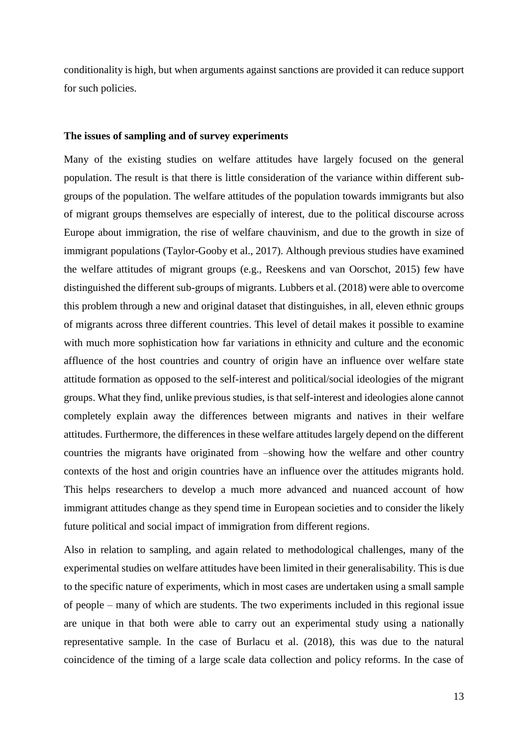conditionality is high, but when arguments against sanctions are provided it can reduce support for such policies.

#### **The issues of sampling and of survey experiments**

Many of the existing studies on welfare attitudes have largely focused on the general population. The result is that there is little consideration of the variance within different subgroups of the population. The welfare attitudes of the population towards immigrants but also of migrant groups themselves are especially of interest, due to the political discourse across Europe about immigration, the rise of welfare chauvinism, and due to the growth in size of immigrant populations (Taylor-Gooby et al., 2017). Although previous studies have examined the welfare attitudes of migrant groups (e.g., Reeskens and van Oorschot, 2015) few have distinguished the different sub-groups of migrants. Lubbers et al. (2018) were able to overcome this problem through a new and original dataset that distinguishes, in all, eleven ethnic groups of migrants across three different countries. This level of detail makes it possible to examine with much more sophistication how far variations in ethnicity and culture and the economic affluence of the host countries and country of origin have an influence over welfare state attitude formation as opposed to the self-interest and political/social ideologies of the migrant groups. What they find, unlike previous studies, is that self-interest and ideologies alone cannot completely explain away the differences between migrants and natives in their welfare attitudes. Furthermore, the differences in these welfare attitudes largely depend on the different countries the migrants have originated from –showing how the welfare and other country contexts of the host and origin countries have an influence over the attitudes migrants hold. This helps researchers to develop a much more advanced and nuanced account of how immigrant attitudes change as they spend time in European societies and to consider the likely future political and social impact of immigration from different regions.

Also in relation to sampling, and again related to methodological challenges, many of the experimental studies on welfare attitudes have been limited in their generalisability. This is due to the specific nature of experiments, which in most cases are undertaken using a small sample of people – many of which are students. The two experiments included in this regional issue are unique in that both were able to carry out an experimental study using a nationally representative sample. In the case of Burlacu et al. (2018), this was due to the natural coincidence of the timing of a large scale data collection and policy reforms. In the case of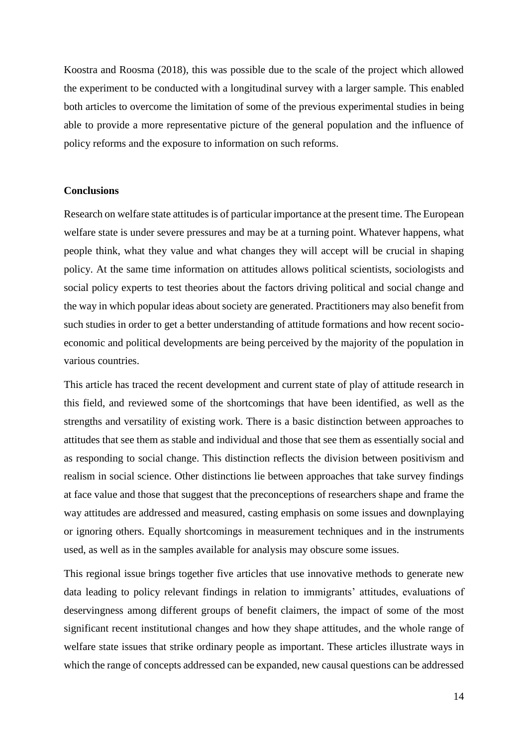Koostra and Roosma (2018), this was possible due to the scale of the project which allowed the experiment to be conducted with a longitudinal survey with a larger sample. This enabled both articles to overcome the limitation of some of the previous experimental studies in being able to provide a more representative picture of the general population and the influence of policy reforms and the exposure to information on such reforms.

#### **Conclusions**

Research on welfare state attitudes is of particular importance at the present time. The European welfare state is under severe pressures and may be at a turning point. Whatever happens, what people think, what they value and what changes they will accept will be crucial in shaping policy. At the same time information on attitudes allows political scientists, sociologists and social policy experts to test theories about the factors driving political and social change and the way in which popular ideas about society are generated. Practitioners may also benefit from such studies in order to get a better understanding of attitude formations and how recent socioeconomic and political developments are being perceived by the majority of the population in various countries.

This article has traced the recent development and current state of play of attitude research in this field, and reviewed some of the shortcomings that have been identified, as well as the strengths and versatility of existing work. There is a basic distinction between approaches to attitudes that see them as stable and individual and those that see them as essentially social and as responding to social change. This distinction reflects the division between positivism and realism in social science. Other distinctions lie between approaches that take survey findings at face value and those that suggest that the preconceptions of researchers shape and frame the way attitudes are addressed and measured, casting emphasis on some issues and downplaying or ignoring others. Equally shortcomings in measurement techniques and in the instruments used, as well as in the samples available for analysis may obscure some issues.

This regional issue brings together five articles that use innovative methods to generate new data leading to policy relevant findings in relation to immigrants' attitudes, evaluations of deservingness among different groups of benefit claimers, the impact of some of the most significant recent institutional changes and how they shape attitudes, and the whole range of welfare state issues that strike ordinary people as important. These articles illustrate ways in which the range of concepts addressed can be expanded, new causal questions can be addressed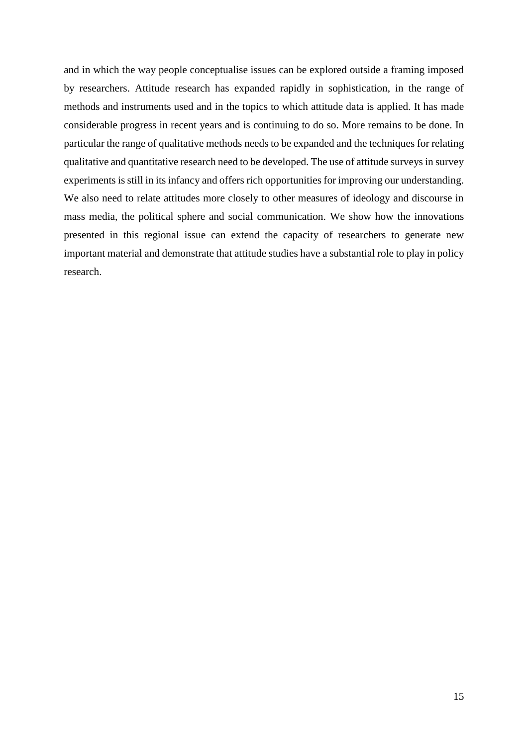and in which the way people conceptualise issues can be explored outside a framing imposed by researchers. Attitude research has expanded rapidly in sophistication, in the range of methods and instruments used and in the topics to which attitude data is applied. It has made considerable progress in recent years and is continuing to do so. More remains to be done. In particular the range of qualitative methods needs to be expanded and the techniques for relating qualitative and quantitative research need to be developed. The use of attitude surveys in survey experiments is still in its infancy and offers rich opportunities for improving our understanding. We also need to relate attitudes more closely to other measures of ideology and discourse in mass media, the political sphere and social communication. We show how the innovations presented in this regional issue can extend the capacity of researchers to generate new important material and demonstrate that attitude studies have a substantial role to play in policy research.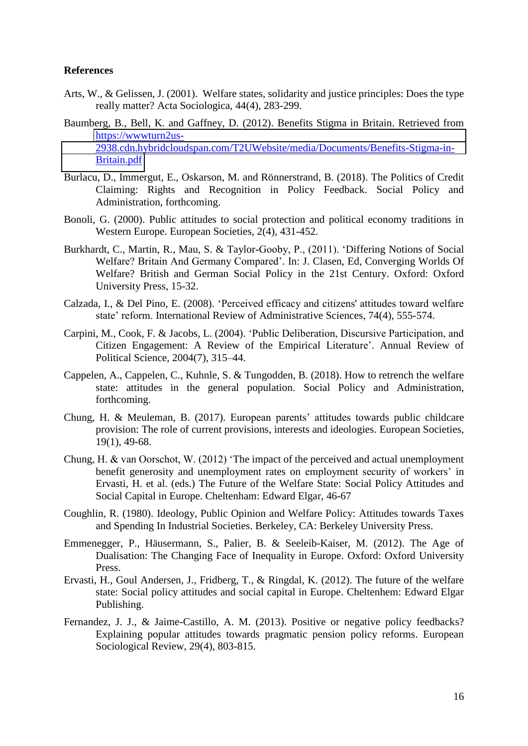#### **References**

- Arts, W., & Gelissen, J. (2001). Welfare states, solidarity and justice principles: Does the type really matter? Acta Sociologica, 44(4), 283-299.
- Baumberg, B., Bell, K. and Gaffney, D. (2012). Benefits Stigma in Britain. Retrieved from [https://wwwturn2us-](https://wwwturn2us-2938.cdn.hybridcloudspan.com/T2UWebsite/media/Documents/Benefits-Stigma-in-Britain.pdf)[2938.cdn.hybridcloudspan.com/T2UWebsite/media/Documents/Benefits-Stigma-in-](https://wwwturn2us-2938.cdn.hybridcloudspan.com/T2UWebsite/media/Documents/Benefits-Stigma-in-Britain.pdf)[Britain.pdf](https://wwwturn2us-2938.cdn.hybridcloudspan.com/T2UWebsite/media/Documents/Benefits-Stigma-in-Britain.pdf)
- Burlacu, D., Immergut, E., Oskarson, M. and Rönnerstrand, B. (2018). The Politics of Credit Claiming: Rights and Recognition in Policy Feedback. Social Policy and Administration, forthcoming.
- Bonoli, G. (2000). Public attitudes to social protection and political economy traditions in Western Europe. European Societies, 2(4), 431-452.
- Burkhardt, C., Martin, R., Mau, S. & Taylor-Gooby, P., (2011). 'Differing Notions of Social Welfare? Britain And Germany Compared'. In: J. Clasen, Ed, Converging Worlds Of Welfare? British and German Social Policy in the 21st Century. Oxford: Oxford University Press, 15-32.
- Calzada, I., & Del Pino, E. (2008). 'Perceived efficacy and citizens' attitudes toward welfare state' reform. International Review of Administrative Sciences, 74(4), 555-574.
- Carpini, M., Cook, F. & Jacobs, L. (2004). 'Public Deliberation, Discursive Participation, and Citizen Engagement: A Review of the Empirical Literature'. Annual Review of Political Science, 2004(7), 315–44.
- Cappelen, A., Cappelen, C., Kuhnle, S. & Tungodden, B. (2018). How to retrench the welfare state: attitudes in the general population. Social Policy and Administration, forthcoming.
- Chung, H. & Meuleman, B. (2017). European parents' attitudes towards public childcare provision: The role of current provisions, interests and ideologies. European Societies, 19(1), 49-68.
- Chung, H. & van Oorschot, W. (2012) 'The impact of the perceived and actual unemployment benefit generosity and unemployment rates on employment security of workers' in Ervasti, H. et al. (eds.) The Future of the Welfare State: Social Policy Attitudes and Social Capital in Europe. Cheltenham: Edward Elgar, 46-67
- Coughlin, R. (1980). Ideology, Public Opinion and Welfare Policy: Attitudes towards Taxes and Spending In Industrial Societies. Berkeley, CA: Berkeley University Press.
- Emmenegger, P., Häusermann, S., Palier, B. & Seeleib-Kaiser, M. (2012). The Age of Dualisation: The Changing Face of Inequality in Europe. Oxford: Oxford University Press.
- Ervasti, H., Goul Andersen, J., Fridberg, T., & Ringdal, K. (2012). The future of the welfare state: Social policy attitudes and social capital in Europe. Cheltenhem: Edward Elgar Publishing.
- Fernandez, J. J., & Jaime-Castillo, A. M. (2013). Positive or negative policy feedbacks? Explaining popular attitudes towards pragmatic pension policy reforms. European Sociological Review, 29(4), 803-815.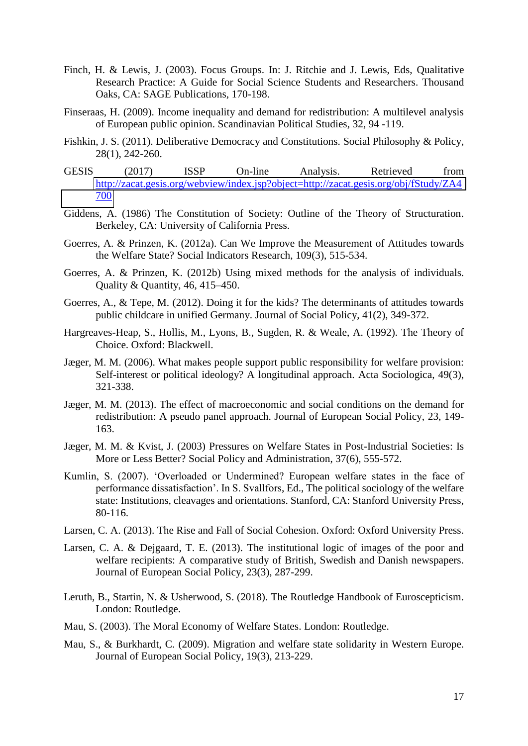- Finch, H. & Lewis, J. (2003). Focus Groups. In: J. Ritchie and J. Lewis, Eds, Qualitative Research Practice: A Guide for Social Science Students and Researchers. Thousand Oaks, CA: SAGE Publications, 170-198.
- Finseraas, H. (2009). Income inequality and demand for redistribution: A multilevel analysis of European public opinion. Scandinavian Political Studies, 32, 94 -119.
- Fishkin, J. S. (2011). Deliberative Democracy and Constitutions. Social Philosophy & Policy, 28(1), 242-260.
- GESIS (2017) ISSP On-line Analysis. Retrieved from [http://zacat.gesis.org/webview/index.jsp?object=http://zacat.gesis.org/obj/fStudy/ZA4](http://zacat.gesis.org/webview/index.jsp?object=http://zacat.gesis.org/obj/fStudy/ZA4700) [700](http://zacat.gesis.org/webview/index.jsp?object=http://zacat.gesis.org/obj/fStudy/ZA4700)
- Giddens, A. (1986) The Constitution of Society: Outline of the Theory of Structuration. Berkeley, CA: University of California Press.
- Goerres, A. & Prinzen, K. (2012a). Can We Improve the Measurement of Attitudes towards the Welfare State? Social Indicators Research, 109(3), 515-534.
- Goerres, A. & Prinzen, K. (2012b) Using mixed methods for the analysis of individuals. Quality & Quantity, 46, 415–450.
- Goerres, A., & Tepe, M. (2012). Doing it for the kids? The determinants of attitudes towards public childcare in unified Germany. Journal of Social Policy, 41(2), 349-372.
- Hargreaves-Heap, S., Hollis, M., Lyons, B., Sugden, R. & Weale, A. (1992). The Theory of Choice. Oxford: Blackwell.
- Jæger, M. M. (2006). What makes people support public responsibility for welfare provision: Self-interest or political ideology? A longitudinal approach. Acta Sociologica, 49(3), 321-338.
- Jæger, M. M. (2013). The effect of macroeconomic and social conditions on the demand for redistribution: A pseudo panel approach. Journal of European Social Policy, 23, 149- 163.
- Jæger, M. M. & Kvist, J. (2003) Pressures on Welfare States in Post-Industrial Societies: Is More or Less Better? Social Policy and Administration, 37(6), 555-572.
- Kumlin, S. (2007). 'Overloaded or Undermined? European welfare states in the face of performance dissatisfaction'. In S. Svallfors, Ed., The political sociology of the welfare state: Institutions, cleavages and orientations. Stanford, CA: Stanford University Press, 80-116.
- Larsen, C. A. (2013). The Rise and Fall of Social Cohesion. Oxford: Oxford University Press.
- Larsen, C. A. & Dejgaard, T. E. (2013). The institutional logic of images of the poor and welfare recipients: A comparative study of British, Swedish and Danish newspapers. Journal of European Social Policy, 23(3), 287-299.
- Leruth, B., Startin, N. & Usherwood, S. (2018). The Routledge Handbook of Euroscepticism. London: Routledge.
- Mau, S. (2003). The Moral Economy of Welfare States. London: Routledge.
- Mau, S., & Burkhardt, C. (2009). Migration and welfare state solidarity in Western Europe. Journal of European Social Policy, 19(3), 213-229.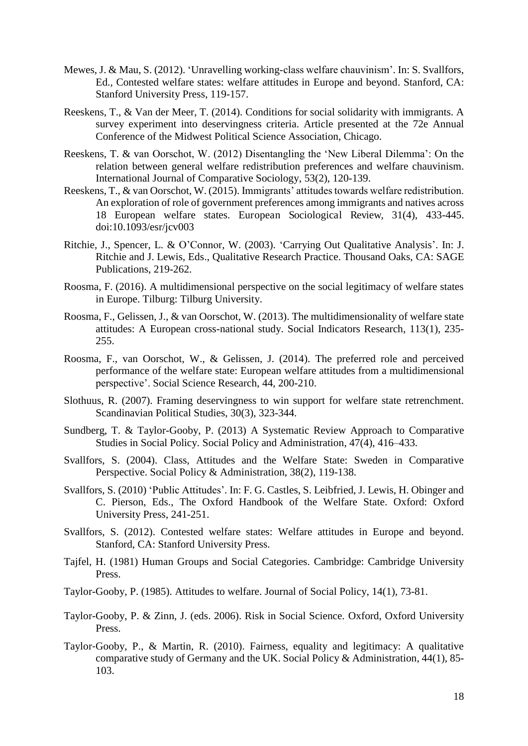- Mewes, J. & Mau, S. (2012). 'Unravelling working-class welfare chauvinism'. In: S. Svallfors, Ed., Contested welfare states: welfare attitudes in Europe and beyond. Stanford, CA: Stanford University Press, 119-157.
- Reeskens, T., & Van der Meer, T. (2014). Conditions for social solidarity with immigrants. A survey experiment into deservingness criteria. Article presented at the 72e Annual Conference of the Midwest Political Science Association, Chicago.
- Reeskens, T. & van Oorschot, W. (2012) Disentangling the 'New Liberal Dilemma': On the relation between general welfare redistribution preferences and welfare chauvinism. International Journal of Comparative Sociology, 53(2), 120-139.
- Reeskens, T., & van Oorschot, W. (2015). Immigrants' attitudes towards welfare redistribution. An exploration of role of government preferences among immigrants and natives across 18 European welfare states. European Sociological Review, 31(4), 433-445. doi:10.1093/esr/jcv003
- Ritchie, J., Spencer, L. & O'Connor, W. (2003). 'Carrying Out Qualitative Analysis'. In: J. Ritchie and J. Lewis, Eds., Qualitative Research Practice. Thousand Oaks, CA: SAGE Publications, 219-262.
- Roosma, F. (2016). A multidimensional perspective on the social legitimacy of welfare states in Europe. Tilburg: Tilburg University.
- Roosma, F., Gelissen, J., & van Oorschot, W. (2013). The multidimensionality of welfare state attitudes: A European cross-national study. Social Indicators Research, 113(1), 235- 255.
- Roosma, F., van Oorschot, W., & Gelissen, J. (2014). The preferred role and perceived performance of the welfare state: European welfare attitudes from a multidimensional perspective'. Social Science Research, 44, 200-210.
- Slothuus, R. (2007). Framing deservingness to win support for welfare state retrenchment. Scandinavian Political Studies, 30(3), 323-344.
- Sundberg, T. & Taylor-Gooby, P. (2013) A Systematic Review Approach to Comparative Studies in Social Policy. Social Policy and Administration, 47(4), 416–433.
- Svallfors, S. (2004). Class, Attitudes and the Welfare State: Sweden in Comparative Perspective. Social Policy & Administration, 38(2), 119-138.
- Svallfors, S. (2010) 'Public Attitudes'. In: F. G. Castles, S. Leibfried, J. Lewis, H. Obinger and C. Pierson, Eds., The Oxford Handbook of the Welfare State. Oxford: Oxford University Press, 241-251.
- Svallfors, S. (2012). Contested welfare states: Welfare attitudes in Europe and beyond. Stanford, CA: Stanford University Press.
- Tajfel, H. (1981) Human Groups and Social Categories. Cambridge: Cambridge University Press.
- Taylor-Gooby, P. (1985). Attitudes to welfare. Journal of Social Policy, 14(1), 73-81.
- Taylor-Gooby, P. & Zinn, J. (eds. 2006). Risk in Social Science. Oxford, Oxford University Press.
- Taylor-Gooby, P., & Martin, R. (2010). Fairness, equality and legitimacy: A qualitative comparative study of Germany and the UK. Social Policy & Administration, 44(1), 85- 103.